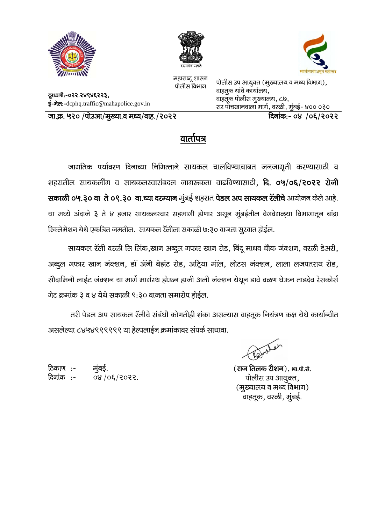

दूरध्वनी:-०२२.२४९४६२२३,





महाराष्ट्र शासन पोलीस विभाग

पोलीस उप आयुक्त (मुख्यालय व मध्य विभाग), वाहतुक यांचे कार्यालय, वाहतूक पोलीस मुख्यालय, ८७, सर पोचखानवाला मार्ग, वरळी, मुंबई- ४०० ०३०

जा.क्र. ५२० /पोउआ/मुख्या.व मध्य/वाह./२०२२

ई-मेल:-dcphq.traffic@mahapolice.gov.in

<u>दिनांक:- ०४ /०६/२०२२ </u>

## वातोपत्र

जागतिक पर्यावरण दिनाच्या निमित्ताने सायकल चालविण्याबाबत जनजागृती करण्यासाठी व शहरातील सायकर्लीग व सायकलस्वारांबदल जागरूकता वाढविण्यासाठी, दि. ०५/०६/२०२२ रोजी सकाळी ०५.३० वा ते ०९.३० वा.च्या दरम्यान मुंबई शहरात पेडल अप सायकल रॅलीचे आयोजन केले आहे. या मध्ये अंदाजे ३ ते ४ हजार सायकलस्वार सहभागी होणार असून मुंबईतील वेगवेगळया विभागातून बांद्रा रिक्लेमेशन येथे एकत्रित जमतील. सायकल रॅलीला सकाळी ७:३० वाजता सुरवात होईल.

सायकल रॅली वरळी सि लिंक,खान अब्दुल गफार खान रोड, बिंदू माधव चौक जंक्शन, वरळी डेअरी, अब्दुल गफार खान जंक्शन, डॉ ॲनी बेझंट रोड, अट्रिया मॉल, लोटस जंक्शन, लाला लजपतराय रोड, सौदामिनी लाईट जंक्शन या मार्गे मार्गस्थ होऊन हाजी अली जंक्शन येथून डावे वळण घेऊन ताडदेव रेसकोर्स गेट क्रमांक ३ व ४ येथे सकाळी ९:३० वाजता समारोप होईल.

तरी पेडल अप सायकल रॅलीचे संबंधी कोणतीही शंका असल्यास वाहतूक नियंत्रण कक्ष येथे कार्यान्वीत असलेल्या ८४५४९९९९९९ या हेल्पलाईन क्रमांकावर संपर्क साधावा.

ठिकाण :-मुंबई. दिनांक :-98/06/5055

(राज तिलक रौशन), भा.पो.से. पोलीस उप आयुक्त, (मुख्यालय व मध्य विभाग) -<br>वाहतूक, वरळी, मुंबई.